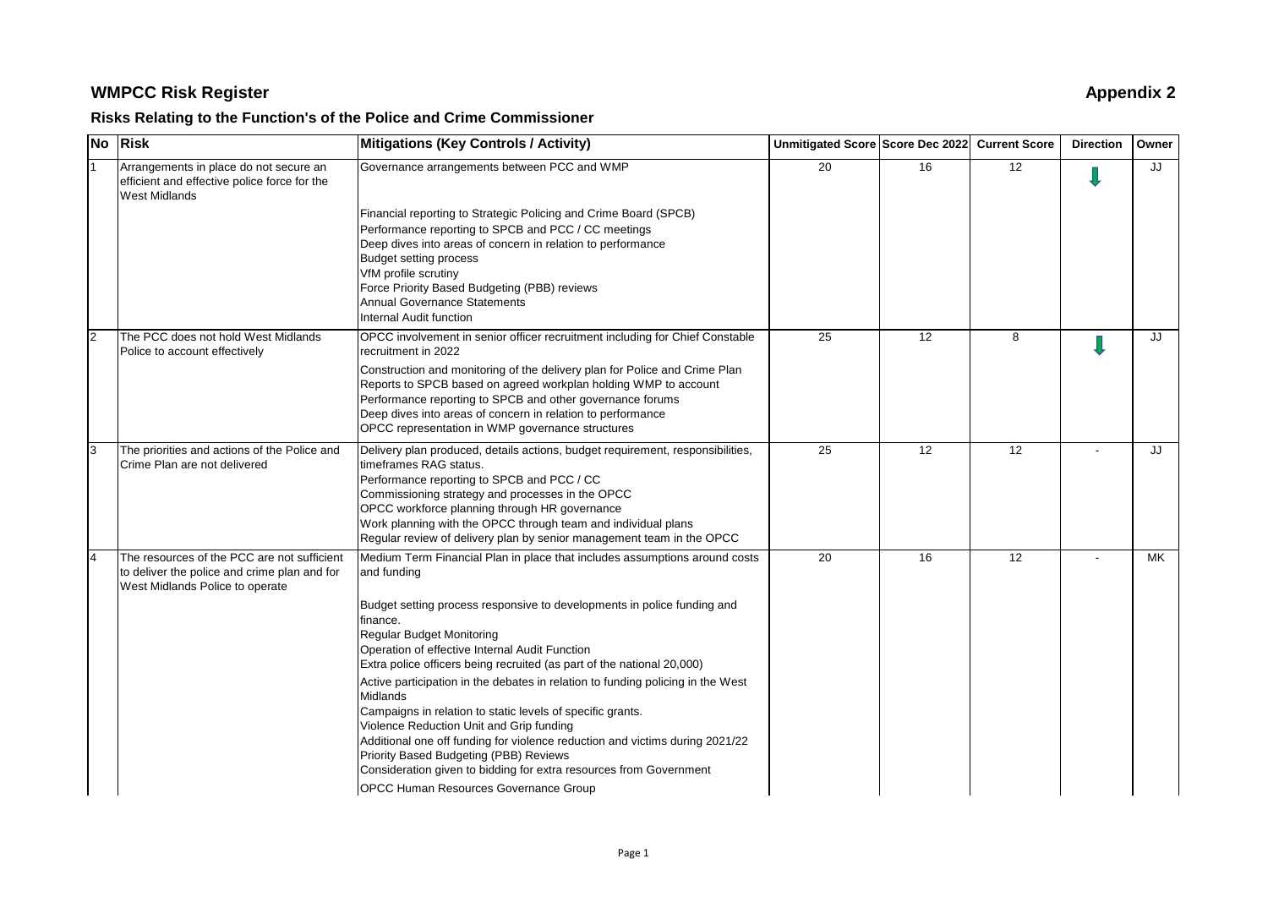# **WMPCC Risk Register Appendix 2**

## **Risks Relating to the Function's of the Police and Crime Commissioner**

| $\overline{N}$ | Risk                                                                                                           | <b>Mitigations (Key Controls / Activity)</b>                                                                                                                                                               | Unmitigated Score Score Dec 2022 Current Score |    |                 | <b>Direction</b> | Owner |
|----------------|----------------------------------------------------------------------------------------------------------------|------------------------------------------------------------------------------------------------------------------------------------------------------------------------------------------------------------|------------------------------------------------|----|-----------------|------------------|-------|
|                | Arrangements in place do not secure an<br>efficient and effective police force for the<br><b>West Midlands</b> | Governance arrangements between PCC and WMP                                                                                                                                                                | 20                                             | 16 | 12              |                  | JJ    |
|                |                                                                                                                | Financial reporting to Strategic Policing and Crime Board (SPCB)                                                                                                                                           |                                                |    |                 |                  |       |
|                |                                                                                                                | Performance reporting to SPCB and PCC / CC meetings                                                                                                                                                        |                                                |    |                 |                  |       |
|                |                                                                                                                | Deep dives into areas of concern in relation to performance                                                                                                                                                |                                                |    |                 |                  |       |
|                |                                                                                                                | <b>Budget setting process</b>                                                                                                                                                                              |                                                |    |                 |                  |       |
|                |                                                                                                                | VfM profile scrutiny<br>Force Priority Based Budgeting (PBB) reviews                                                                                                                                       |                                                |    |                 |                  |       |
|                |                                                                                                                | Annual Governance Statements                                                                                                                                                                               |                                                |    |                 |                  |       |
|                |                                                                                                                | Internal Audit function                                                                                                                                                                                    |                                                |    |                 |                  |       |
| l2             | The PCC does not hold West Midlands<br>Police to account effectively                                           | OPCC involvement in senior officer recruitment including for Chief Constable<br>recruitment in 2022                                                                                                        | 25                                             | 12 | 8               |                  | JJ    |
|                |                                                                                                                | Construction and monitoring of the delivery plan for Police and Crime Plan<br>Reports to SPCB based on agreed workplan holding WMP to account<br>Performance reporting to SPCB and other governance forums |                                                |    |                 |                  |       |
|                |                                                                                                                | Deep dives into areas of concern in relation to performance                                                                                                                                                |                                                |    |                 |                  |       |
|                |                                                                                                                | OPCC representation in WMP governance structures                                                                                                                                                           |                                                |    | $\overline{12}$ |                  |       |
| l3             | The priorities and actions of the Police and<br>Crime Plan are not delivered                                   | Delivery plan produced, details actions, budget requirement, responsibilities,<br>timeframes RAG status.                                                                                                   | 25                                             | 12 |                 |                  | JJ    |
|                |                                                                                                                | Performance reporting to SPCB and PCC / CC                                                                                                                                                                 |                                                |    |                 |                  |       |
|                |                                                                                                                | Commissioning strategy and processes in the OPCC                                                                                                                                                           |                                                |    |                 |                  |       |
|                |                                                                                                                | OPCC workforce planning through HR governance<br>Work planning with the OPCC through team and individual plans                                                                                             |                                                |    |                 |                  |       |
|                |                                                                                                                | Regular review of delivery plan by senior management team in the OPCC                                                                                                                                      |                                                |    |                 |                  |       |
|                | The resources of the PCC are not sufficient                                                                    | Medium Term Financial Plan in place that includes assumptions around costs                                                                                                                                 | 20                                             | 16 | 12              |                  | MK    |
|                | to deliver the police and crime plan and for<br>West Midlands Police to operate                                | and funding                                                                                                                                                                                                |                                                |    |                 |                  |       |
|                |                                                                                                                | Budget setting process responsive to developments in police funding and<br>finance.                                                                                                                        |                                                |    |                 |                  |       |
|                |                                                                                                                | <b>Regular Budget Monitoring</b>                                                                                                                                                                           |                                                |    |                 |                  |       |
|                |                                                                                                                | Operation of effective Internal Audit Function<br>Extra police officers being recruited (as part of the national 20,000)                                                                                   |                                                |    |                 |                  |       |
|                |                                                                                                                | Active participation in the debates in relation to funding policing in the West                                                                                                                            |                                                |    |                 |                  |       |
|                |                                                                                                                | <b>Midlands</b>                                                                                                                                                                                            |                                                |    |                 |                  |       |
|                |                                                                                                                | Campaigns in relation to static levels of specific grants.                                                                                                                                                 |                                                |    |                 |                  |       |
|                |                                                                                                                | Violence Reduction Unit and Grip funding<br>Additional one off funding for violence reduction and victims during 2021/22                                                                                   |                                                |    |                 |                  |       |
|                |                                                                                                                | Priority Based Budgeting (PBB) Reviews                                                                                                                                                                     |                                                |    |                 |                  |       |
|                |                                                                                                                | Consideration given to bidding for extra resources from Government                                                                                                                                         |                                                |    |                 |                  |       |
|                |                                                                                                                | <b>OPCC Human Resources Governance Group</b>                                                                                                                                                               |                                                |    |                 |                  |       |